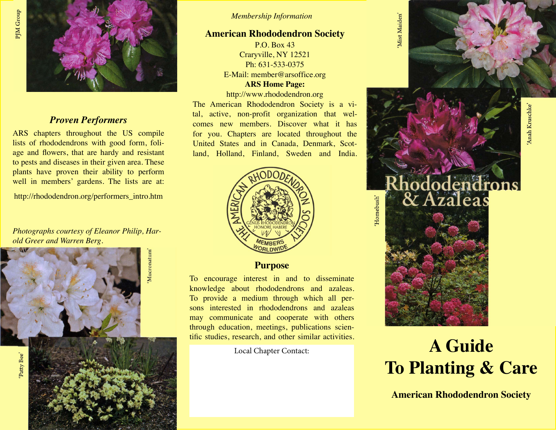

### *Proven Performers*

ARS chapters throughout the US compile lists of rhododendrons with good form, foliage and flowers, that are hardy and resistant to pests and diseases in their given area. These plants have proven their ability to perform well in members' gardens. The lists are at:

http://rhododendron.org/performers\_intro.htm

*Photographs courtesy of Eleanor Philip, Harold Greer and Warren Berg.*



#### *Membership Information*

### **American Rhododendron Society**

P.O. Box 43 Craryville, NY 12521 Ph: 631-533-0375 E-Mail: member@arsoffice.org **ARS Home Page:**

http://www.rhododendron.org

The American Rhododendron Society is a vital, active, non-profit organization that welcomes new members. Discover what it has for you. Chapters are located throughout the United States and in Canada, Denmark, Scotland, Holland, Finland, Sweden and India.



**Purpose**

To encourage interest in and to disseminate knowledge about rhododendrons and azaleas. To provide a medium through which all persons interested in rhododendrons and azaleas may communicate and cooperate with others through education, meetings, publications scientific studies, research, and other similar activities.

Mist Maiden'



Homebush'



# Local Chapter Contact: **A Guide To Planting & Care**

**American Rhododendron Society**